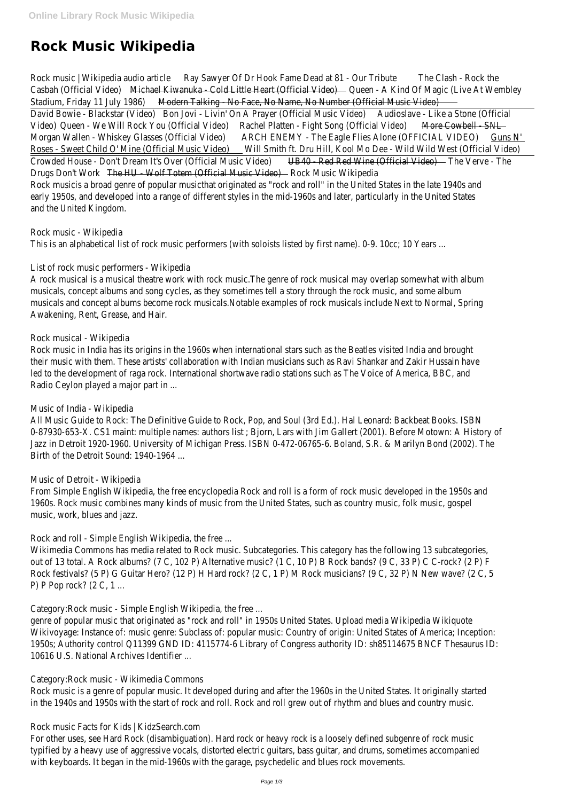# **Rock Music Wikipedia**

Rock music | Wikipedia audio artiklay Sawyer Of Dr Hook Fame Dead at 81 - Our Trilbute Clash - Rock the Casbah (Official Video Michael Kiwanuka - Cold Little Heart (Official Volge ) - A Kind Of Magic (Live At Wembley Stadium, Friday 11 July 1986) Deterntial King - No Face, No Name, No Number (Official Music Video) David Bowie - Blackstar (Video) Jovi - Livin' On A Prayer (Official Music Video) boslave - Like a Stone (Official Video) Queen - We Will Rock You (Official Videa)chel Platten - Fight Song (Official Video) e Cowbell - SNL Morgan Wallen - Whiskey Glasses (Official Vider&CH ENEMY - The Eagle Flies Alone (OFFICIAL VIDEO) Guns N' Roses - Sweet Child O' Mine (Official Music Videt) Smith ft. Dru Hill, Kool Mo Dee - Wild Wild West (Official Video) Crowded House - Don't Dream It's Over (Official Music VB40) - Red Red Wine (Official Vided) e Verve - The Drugs Don't Workhe HU - Wolf Totem (Official Music Videod) R Music Wikipedia Rock musicis a broad genre of popular musicthat originated as "rock and roll" in the United States in the late 1940 early 1950s, and developed into a range of different styles in the mid-1960s and later, particularly in the United St and the United Kingdom.

A rock musical is a musical theatre work with rock music. The genre of rock musical may overlap somewhat with a musicals, concept albums and song cycles, as they sometimes tell a story through the rock music, and some album musicals and concept albums become rock musicals.Notable examples of rock musicals include Next to Normal, Spr Awakening, Rent, Grease, and Hair.

Rock music in India has its origins in the 1960s when international stars such as the Beatles visited India and brou their music with them. These artists' collaboration with Indian musicians such as Ravi Shankar and Zakir Hussain ha led to the development of raga rock. International shortwave radio stations such as The Voice of America, BBC, and Radio Ceylon played a major part in ...

Rock music - Wikipedia

This is an alphabetical list of rock music performers (with soloists listed by first name). 0-9. 10cc; 10 Years ...

List of rock music performers - Wikipedia

From Simple English Wikipedia, the free encyclopedia Rock and roll is a form of rock music developed in the 1950s 1960s. Rock music combines many kinds of music from the United States, such as country music, folk music, gosp music, work, blues and jazz.

Wikimedia Commons has media related to Rock music. Subcategories. This category has the following 13 subcatego out of 13 total. A Rock albums? (7 C, 102 P) Alternative music? (1 C, 10 P) B Rock bands? (9 C, 33 P) C C-rock? ( Rock festivals? (5 P) G Guitar Hero? (12 P) H Hard rock? (2 C, 1 P) M Rock musicians? (9 C, 32 P) N New wave? ( P) P Pop rock? (2 C, 1 ...

## Rock musical - Wikipedia

For other uses, see Hard Rock (disambiguation). Hard rock or heavy rock is a loosely defined subgenre of rock mus typified by a heavy use of aggressive vocals, distorted electric guitars, bass guitar, and drums, sometimes accompa with keyboards. It began in the mid-1960s with the garage, psychedelic and blues rock movements.

## Music of India - Wikipedia

All Music Guide to Rock: The Definitive Guide to Rock, Pop, and Soul (3rd Ed.). Hal Leonard: Backbeat Books. ISBN 0-87930-653-X. CS1 maint: multiple names: authors list ; Bjorn, Lars with Jim Gallert (2001). Before Motown: A H Jazz in Detroit 1920-1960. University of Michigan Press. ISBN 0-472-06765-6. Boland, S.R. & Marilyn Bond (2002) Birth of the Detroit Sound: 1940-1964 ...

## Music of Detroit - Wikipedia

Rock and roll - Simple English Wikipedia, the free ...

Category:Rock music - Simple English Wikipedia, the free ...

genre of popular music that originated as "rock and roll" in 1950s United States. Upload media Wikipedia Wikiquote Wikivoyage: Instance of: music genre: Subclass of: popular music: Country of origin: United States of America; Incep 1950s; Authority control Q11399 GND ID: 4115774-6 Library of Congress authority ID: sh85114675 BNCF Thesaur 10616 U.S. National Archives Identifier ...

#### Category:Rock music - Wikimedia Commons

Rock music is a genre of popular music. It developed during and after the 1960s in the United States. It originally in the 1940s and 1950s with the start of rock and roll. Rock and roll grew out of rhythm and blues and country r

#### Rock music Facts for Kids | KidzSearch.com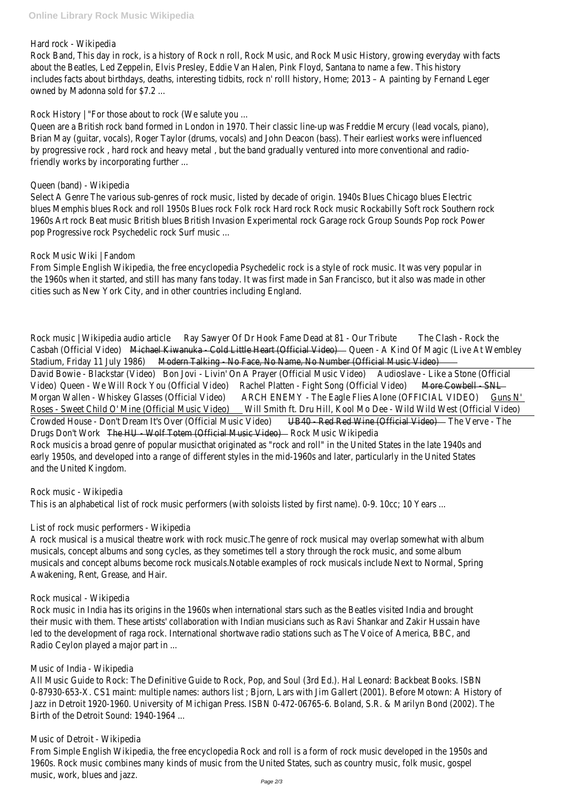#### Hard rock - Wikipedia

Rock Band, This day in rock, is a history of Rock n roll, Rock Music, and Rock Music History, growing everyday with about the Beatles, Led Zeppelin, Elvis Presley, Eddie Van Halen, Pink Floyd, Santana to name a few. This history includes facts about birthdays, deaths, interesting tidbits, rock n' rolll history, Home; 2013 – A painting by Fernand owned by Madonna sold for \$7.2 ...

Rock History | "For those about to rock (We salute you ...

Queen are a British rock band formed in London in 1970. Their classic line-up was Freddie Mercury (lead vocals, pia Brian May (guitar, vocals), Roger Taylor (drums, vocals) and John Deacon (bass). Their earliest works were influenc by progressive rock, hard rock and heavy metal, but the band gradually ventured into more conventional and radio friendly works by incorporating further ...

Select A Genre The various sub-genres of rock music, listed by decade of origin. 1940s Blues Chicago blues Electric blues Memphis blues Rock and roll 1950s Blues rock Folk rock Hard rock Rock music Rockabilly Soft rock Southern 1960s Art rock Beat music British blues British Invasion Experimental rock Garage rock Group Sounds Pop rock Po pop Progressive rock Psychedelic rock Surf music ...

From Simple English Wikipedia, the free encyclopedia Psychedelic rock is a style of rock music. It was very popular the 1960s when it started, and still has many fans today. It was first made in San Francisco, but it also was made cities such as New York City, and in other countries including England.

## Queen (band) - Wikipedia

## Rock Music Wiki | Fandom

Rock music | Wikipedia audio artiklay Sawyer Of Dr Hook Fame Dead at 81 - Our Trilbute Clash - Rock the Casbah (Official Video Michael Kiwanuka - Cold Little Heart (Official VOlue) - A Kind Of Magic (Live At Wembley Stadium, Friday 11 July 1986) Deterntial King - No Face, No Name, No Number (Official Music Video) David Bowie - Blackstar (Video) Bovi - Livin' On A Prayer (Official Music Video) boslave - Like a Stone (Official Video) Queen - We Will Rock You (Official Videa) Chel Platten - Fight Song (Official Video) e Cowbell - SNL Morgan Wallen - Whiskey Glasses (Official Videra) ARCH ENEMY - The Eagle Flies Alone (OFFICIAL VIDEO) Guns N' Roses - Sweet Child O' Mine (Official Music Videt) Smith ft. Dru Hill, Kool Mo Dee - Wild Wild West (Official Video) Crowded House - Don't Dream It's Over (Official Music VB40) - Red Red Wine (Official Videt) e Verve - The Drugs Don't Workhe HU - Wolf Totem (Official Music Videod) Rousic Wikipedia Rock musicis a broad genre of popular musicthat originated as "rock and roll" in the United States in the late 1940 early 1950s, and developed into a range of different styles in the mid-1960s and later, particularly in the United St and the United Kingdom.

A rock musical is a musical theatre work with rock music.The genre of rock musical may overlap somewhat with al musicals, concept albums and song cycles, as they sometimes tell a story through the rock music, and some album musicals and concept albums become rock musicals.Notable examples of rock musicals include Next to Normal, Spr Awakening, Rent, Grease, and Hair.

Rock music in India has its origins in the 1960s when international stars such as the Beatles visited India and brou their music with them. These artists' collaboration with Indian musicians such as Ravi Shankar and Zakir Hussain ha led to the development of raga rock. International shortwave radio stations such as The Voice of America, BBC, and Radio Ceylon played a major part in ...

From Simple English Wikipedia, the free encyclopedia Rock and roll is a form of rock music developed in the 1950s 1960s. Rock music combines many kinds of music from the United States, such as country music, folk music, gosp music, work, blues and jazz.

## Rock music - Wikipedia

This is an alphabetical list of rock music performers (with soloists listed by first name). 0-9. 10cc; 10 Years ...

## List of rock music performers - Wikipedia

Rock musical - Wikipedia

Music of India - Wikipedia

All Music Guide to Rock: The Definitive Guide to Rock, Pop, and Soul (3rd Ed.). Hal Leonard: Backbeat Books. ISBN 0-87930-653-X. CS1 maint: multiple names: authors list ; Bjorn, Lars with Jim Gallert (2001). Before Motown: A H Jazz in Detroit 1920-1960. University of Michigan Press. ISBN 0-472-06765-6. Boland, S.R. & Marilyn Bond (2002) Birth of the Detroit Sound: 1940-1964 ...

Music of Detroit - Wikipedia